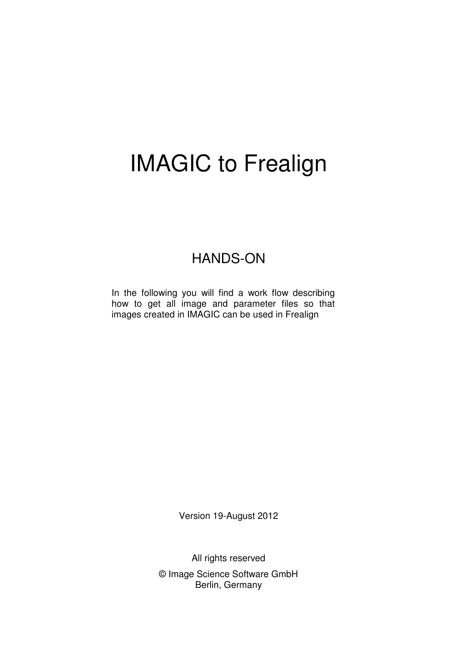# IMAGIC to Frealign

## HANDS-ON

In the following you will find a work flow describing how to get all image and parameter files so that images created in IMAGIC can be used in Frealign

Version 19-August 2012

All rights reserved © Image Science Software GmbH Berlin, Germany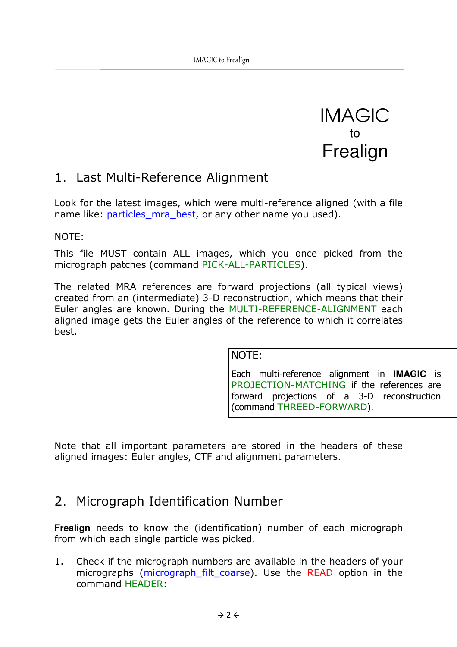

## 1. Last Multi-Reference Alignment

Look for the latest images, which were multi-reference aligned (with a file name like: particles mra best, or any other name you used).

NOTE:

This file MUST contain ALL images, which you once picked from the micrograph patches (command PICK-ALL-PARTICLES).

The related MRA references are forward projections (all typical views) created from an (intermediate) 3-D reconstruction, which means that their Euler angles are known. During the MULTI-REFERENCE-ALIGNMENT each aligned image gets the Euler angles of the reference to which it correlates best.

#### NOTE:

Each multi-reference alignment in **IMAGIC** is PROJECTION-MATCHING if the references are forward projections of a 3-D reconstruction (command THREED-FORWARD).

Note that all important parameters are stored in the headers of these aligned images: Euler angles, CTF and alignment parameters.

#### 2. Micrograph Identification Number

**Frealign** needs to know the (identification) number of each micrograph from which each single particle was picked.

1. Check if the micrograph numbers are available in the headers of your micrographs (micrograph filt coarse). Use the READ option in the command HEADER: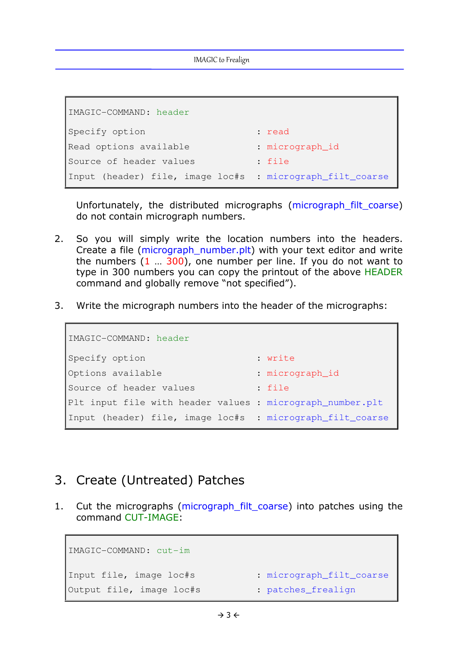IMAGIC to Frealign

```
IMAGIC-COMMAND: header
Specify option : read
Read options available : micrograph_id
Source of header values : file
Input (header) file, image loc#s : micrograph_filt_coarse
```
Unfortunately, the distributed micrographs (micrograph filt coarse) do not contain micrograph numbers.

- 2. So you will simply write the location numbers into the headers. Create a file (micrograph\_number.plt) with your text editor and write the numbers  $(1 \ldots 300)$ , one number per line. If you do not want to type in 300 numbers you can copy the printout of the above HEADER command and globally remove "not specified").
- 3. Write the micrograph numbers into the header of the micrographs:

```
IMAGIC-COMMAND: header
Specify option : write
Options available : micrograph_id
Source of header values : file
Plt input file with header values : micrograph_number.plt
Input (header) file, image loc#s : micrograph_filt_coarse
```
#### 3. Create (Untreated) Patches

1. Cut the micrographs (micrograph\_filt\_coarse) into patches using the command CUT-IMAGE:

```
IMAGIC-COMMAND: cut-im
Input file, image loc#s : micrograph_filt_coarse
Output file, image loc#s : patches_frealign
```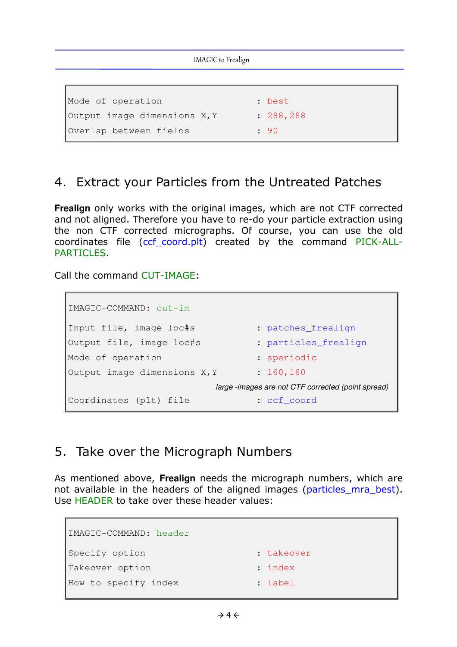| IMAGIC to Frealign           |            |  |
|------------------------------|------------|--|
|                              |            |  |
| Mode of operation            | : best     |  |
| Output image dimensions X, Y | : 288, 288 |  |
| Overlap between fields       | : 90       |  |

### 4. Extract your Particles from the Untreated Patches

**Frealign** only works with the original images, which are not CTF corrected and not aligned. Therefore you have to re-do your particle extraction using the non CTF corrected micrographs. Of course, you can use the old coordinates file (ccf\_coord.plt) created by the command PICK-ALL-PARTICLES.

Call the command CUT-IMAGE:

```
IMAGIC-COMMAND: cut-im
Input file, image loc#s : patches_frealign
Output file, image loc#s : particles frealign
Mode of operation : aperiodic
Output image dimensions X, Y : 160, 160
                        large -images are not CTF corrected (point spread)
Coordinates (plt) file : ccf_coord
```
#### 5. Take over the Micrograph Numbers

As mentioned above, **Frealign** needs the micrograph numbers, which are not available in the headers of the aligned images (particles mra best). Use HEADER to take over these header values:

```
IMAGIC-COMMAND: header
Specify option : takeover
Takeover option : index
How to specify index : label
```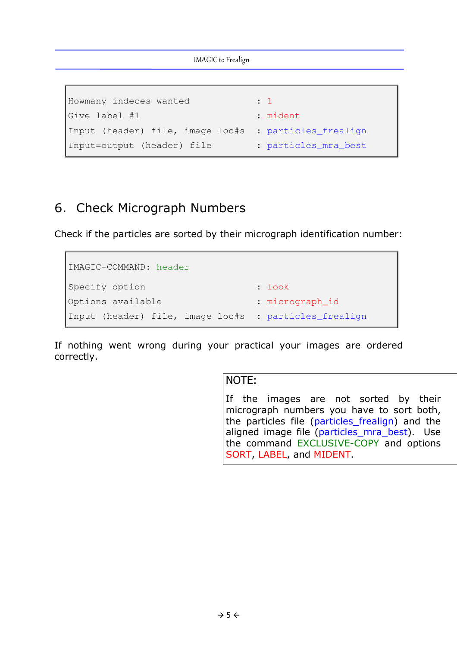IMAGIC to Frealign

```
Howmany indeces wanted : 1
Give label #1 : mident
Input (header) file, image loc#s : particles_frealign
Input=output (header) file : particles_mra_best
```
#### 6. Check Micrograph Numbers

Check if the particles are sorted by their micrograph identification number:

```
IMAGIC-COMMAND: header
Specify option : look : look
Options available : micrograph_id
Input (header) file, image loc#s : particles_frealign
```
If nothing went wrong during your practical your images are ordered correctly.

#### NOTE:

If the images are not sorted by their micrograph numbers you have to sort both, the particles file (particles\_frealign) and the aligned image file (particles mra best). Use the command EXCLUSIVE-COPY and options SORT, LABEL, and MIDENT.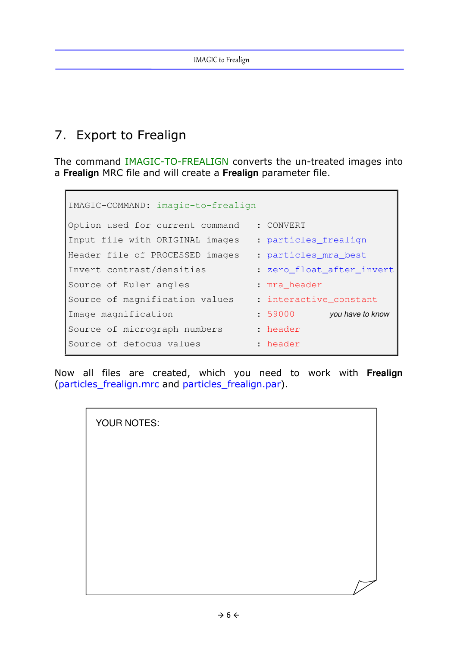# 7. Export to Frealign

The command IMAGIC-TO-FREALIGN converts the un-treated images into a **Frealign** MRC file and will create a **Frealign** parameter file.

```
IMAGIC-COMMAND: imagic-to-frealign
Option used for current command : CONVERT 
Input file with ORIGINAL images : particles_frealign
Header file of PROCESSED images : particles_mra_best
Invert contrast/densities : zero_float_after_invert
Source of Euler angles : mra header
Source of magnification values : interactive constant
Image magnification : 59000 you have to know
Source of micrograph numbers : header
Source of defocus values : header
```
Now all files are created, which you need to work with **Frealign** (particles\_frealign.mrc and particles\_frealign.par).

| YOUR NOTES: |  |
|-------------|--|
|             |  |
|             |  |
|             |  |
|             |  |
|             |  |
|             |  |